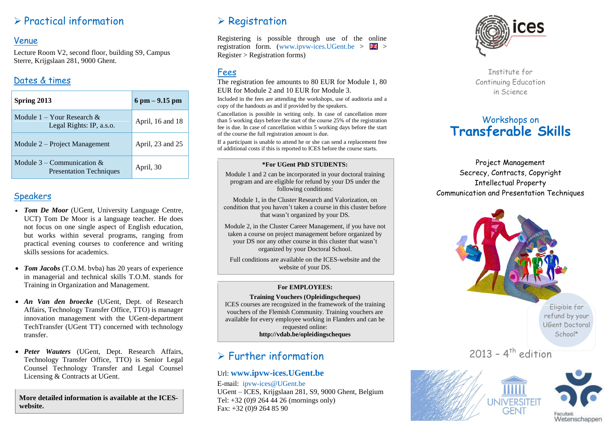# $\triangleright$  Practical information

#### Venue

Lecture Room V2, second floor, building S9, Campus Sterre, Krijgslaan 281, 9000 Ghent.

## Dates & times

| Spring 2013                                                       | $6$ pm $-9.15$ pm |
|-------------------------------------------------------------------|-------------------|
| Module $1 -$ Your Research &<br>Legal Rights: IP, a.s.o.          | April, 16 and 18  |
| Module 2 – Project Management                                     | April, 23 and 25  |
| Module $3$ – Communication $\&$<br><b>Presentation Techniques</b> | April, 30         |

### **Speakers**

- *Tom De Moor* (UGent, University Language Centre, UCT) Tom De Moor is a language teacher. He does not focus on one single aspect of English education, but works within several programs, ranging from practical evening courses to conference and writing skills sessions for academics.
- *Tom Jacobs* (T.O.M. bvba) has 20 years of experience in managerial and technical skills T.O.M. stands for Training in Organization and Management.
- *An Van den broecke* (UGent, Dept. of Research Affairs, Technology Transfer Office, TTO) is manager innovation management with the UGent-department TechTransfer (UGent TT) concerned with technology transfer.
- *Peter Wauters* (UGent, Dept. Research Affairs, Technology Transfer Office, TTO) is Senior Legal Counsel Technology Transfer and Legal Counsel Licensing & Contracts at UGent.

**More detailed information is available at the ICESwebsite.**

# $\triangleright$  Registration

Registering is possible through use of the online registration form. (www.ipvw-ices.UGent.be  $> 25$ Register > Registration forms)

## Fees

The registration fee amounts to 80 EUR for Module 1, 80 EUR for Module 2 and 10 EUR for Module 3.

Included in the fees are attending the workshops, use of auditoria and a copy of the handouts as and if provided by the speakers.

Cancellation is possible in writing only. In case of cancellation more than 5 working days before the start of the course 25% of the registration fee is due. In case of cancellation within 5 working days before the start of the course the full registration amount is due.

If a participant is unable to attend he or she can send a replacement free of additional costs if this is reported to ICES before the course starts.

#### **\*For UGent PhD STUDENTS:**

Module 1 and 2 can be incorporated in your doctoral training program and are eligible for refund by your DS under the following conditions:

Module 1, in the Cluster Research and Valorization, on condition that you haven't taken a course in this cluster before that wasn't organized by your DS.

Module 2, in the Cluster Career Management, if you have not taken a course on project management before organized by your DS nor any other course in this cluster that wasn't organized by your Doctoral School.

Full conditions are available on the ICES-website and the website of your DS.

#### **For EMPLOYEES:**

**Training Vouchers (Opleidingscheques)** ICES courses are recognized in the framework of the training vouchers of the Flemish Community. Training vouchers are available for every employee working in Flanders and can be requested online: **http://vdab.be/opleidingscheques**

# $\triangleright$  Further information

#### Url: **[www.ipvw-ices.UGent.be](http://www.ipvw-ices.ugent.be/)**

E-mail: ipvw-ices@UGent.be UGent – ICES, Krijgslaan 281, S9, 9000 Ghent, Belgium Tel: +32 (0)9 264 44 26 (mornings only) Fax: +32 (0)9 264 85 90



Institute for Continuing Education in Science

# Workshops on **Transferable Skills**

Project Management Secrecy, Contracts, Copyright Intellectual Property Communication and Presentation Techniques